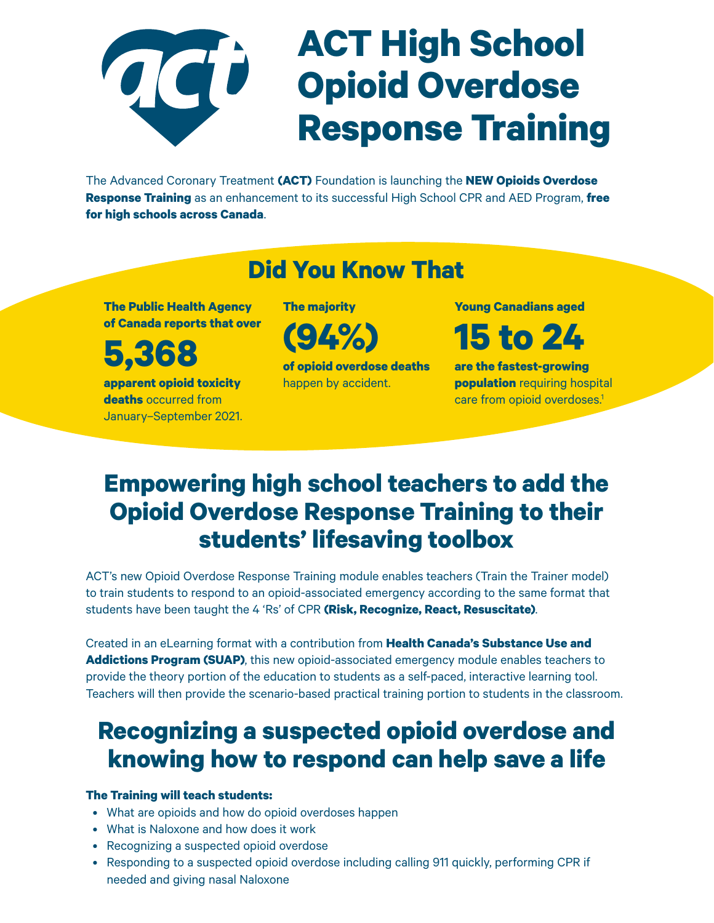

The Advanced Coronary Treatment **(ACT)** Foundation is launching the **NEW Opioids Overdose Response Training** as an enhancement to its successful High School CPR and AED Program, **free for high schools across Canada**.

#### **Did You Know That**

**The Public Health Agency of Canada reports that over**

**apparent opioid toxicity deaths** occurred from January–September 2021. **5,368**

**The majority**

**(94%)**

**of opioid overdose deaths** happen by accident.

**Young Canadians aged**

**15 to 24** 

**are the fastest-growing population** requiring hospital care from opioid overdoses.<sup>1</sup>

### **Empowering high school teachers to add the Opioid Overdose Response Training to their students' lifesaving toolbox**

ACT's new Opioid Overdose Response Training module enables teachers (Train the Trainer model) to train students to respond to an opioid-associated emergency according to the same format that students have been taught the 4 'Rs' of CPR **(Risk, Recognize, React, Resuscitate)**.

Created in an eLearning format with a contribution from **Health Canada's Substance Use and Addictions Program (SUAP)**, this new opioid-associated emergency module enables teachers to provide the theory portion of the education to students as a self-paced, interactive learning tool. Teachers will then provide the scenario-based practical training portion to students in the classroom.

### **Recognizing a suspected opioid overdose and knowing how to respond can help save a life**

#### **The Training will teach students:**

- What are opioids and how do opioid overdoses happen
- What is Naloxone and how does it work
- Recognizing a suspected opioid overdose
- Responding to a suspected opioid overdose including calling 911 quickly, performing CPR if needed and giving nasal Naloxone